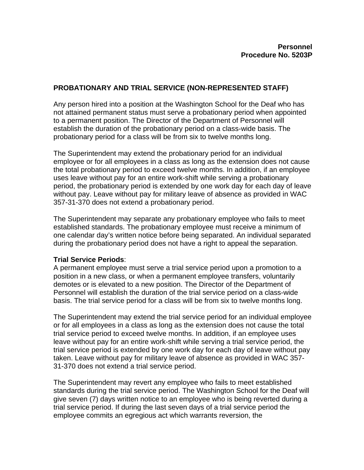## **PROBATIONARY AND TRIAL SERVICE (NON-REPRESENTED STAFF)**

Any person hired into a position at the Washington School for the Deaf who has not attained permanent status must serve a probationary period when appointed to a permanent position. The Director of the Department of Personnel will establish the duration of the probationary period on a class-wide basis. The probationary period for a class will be from six to twelve months long.

The Superintendent may extend the probationary period for an individual employee or for all employees in a class as long as the extension does not cause the total probationary period to exceed twelve months. In addition, if an employee uses leave without pay for an entire work-shift while serving a probationary period, the probationary period is extended by one work day for each day of leave without pay. Leave without pay for military leave of absence as provided in WAC 357-31-370 does not extend a probationary period.

The Superintendent may separate any probationary employee who fails to meet established standards. The probationary employee must receive a minimum of one calendar day's written notice before being separated. An individual separated during the probationary period does not have a right to appeal the separation.

## **Trial Service Periods**:

A permanent employee must serve a trial service period upon a promotion to a position in a new class, or when a permanent employee transfers, voluntarily demotes or is elevated to a new position. The Director of the Department of Personnel will establish the duration of the trial service period on a class-wide basis. The trial service period for a class will be from six to twelve months long.

The Superintendent may extend the trial service period for an individual employee or for all employees in a class as long as the extension does not cause the total trial service period to exceed twelve months. In addition, if an employee uses leave without pay for an entire work-shift while serving a trial service period, the trial service period is extended by one work day for each day of leave without pay taken. Leave without pay for military leave of absence as provided in WAC 357- 31-370 does not extend a trial service period.

The Superintendent may revert any employee who fails to meet established standards during the trial service period. The Washington School for the Deaf will give seven (7) days written notice to an employee who is being reverted during a trial service period. If during the last seven days of a trial service period the employee commits an egregious act which warrants reversion, the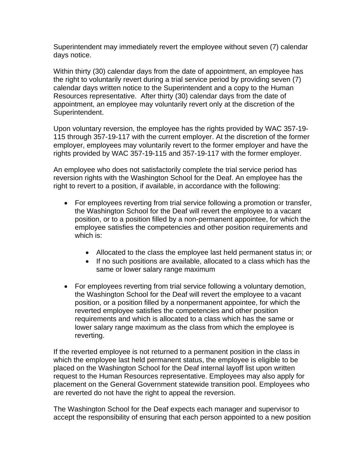Superintendent may immediately revert the employee without seven (7) calendar days notice.

Within thirty (30) calendar days from the date of appointment, an employee has the right to voluntarily revert during a trial service period by providing seven (7) calendar days written notice to the Superintendent and a copy to the Human Resources representative. After thirty (30) calendar days from the date of appointment, an employee may voluntarily revert only at the discretion of the Superintendent.

Upon voluntary reversion, the employee has the rights provided by WAC 357-19- 115 through 357-19-117 with the current employer. At the discretion of the former employer, employees may voluntarily revert to the former employer and have the rights provided by WAC 357-19-115 and 357-19-117 with the former employer.

An employee who does not satisfactorily complete the trial service period has reversion rights with the Washington School for the Deaf. An employee has the right to revert to a position, if available, in accordance with the following:

- For employees reverting from trial service following a promotion or transfer, the Washington School for the Deaf will revert the employee to a vacant position, or to a position filled by a non-permanent appointee, for which the employee satisfies the competencies and other position requirements and which is:
	- Allocated to the class the employee last held permanent status in; or
	- If no such positions are available, allocated to a class which has the same or lower salary range maximum
- For employees reverting from trial service following a voluntary demotion, the Washington School for the Deaf will revert the employee to a vacant position, or a position filled by a nonpermanent appointee, for which the reverted employee satisfies the competencies and other position requirements and which is allocated to a class which has the same or lower salary range maximum as the class from which the employee is reverting.

If the reverted employee is not returned to a permanent position in the class in which the employee last held permanent status, the employee is eligible to be placed on the Washington School for the Deaf internal layoff list upon written request to the Human Resources representative. Employees may also apply for placement on the General Government statewide transition pool. Employees who are reverted do not have the right to appeal the reversion.

The Washington School for the Deaf expects each manager and supervisor to accept the responsibility of ensuring that each person appointed to a new position